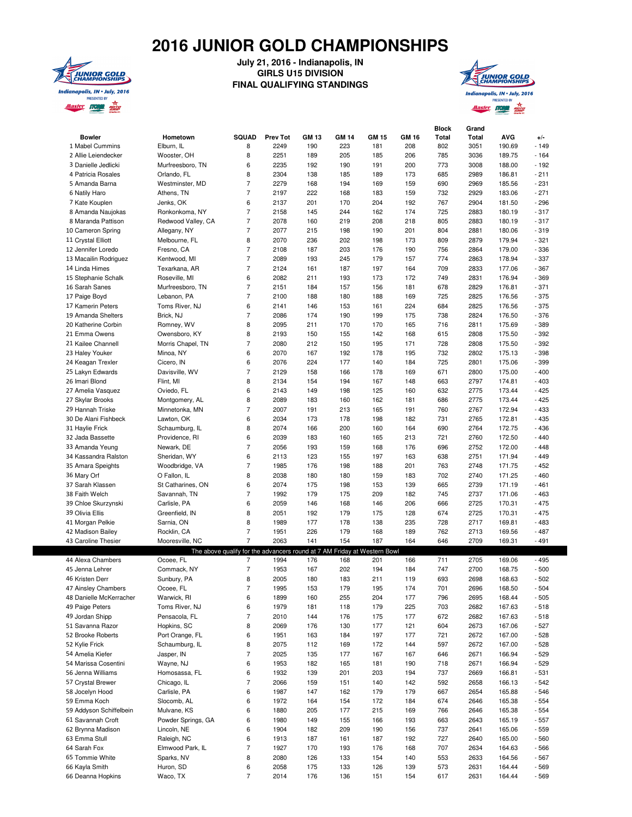## **2016 JUNIOR GOLD CHAMPIONSHIPS**



## **July 21, 2016 - Indianapolis, IN GIRLS U15 DIVISION FINAL QUALIFYING STANDINGS**



|                                          |                                 |                                                                          |                 |              |              |              |            | <b>Block</b> | Grand        |                  |                  |
|------------------------------------------|---------------------------------|--------------------------------------------------------------------------|-----------------|--------------|--------------|--------------|------------|--------------|--------------|------------------|------------------|
| <b>Bowler</b>                            | Hometown                        | <b>SQUAD</b>                                                             | <b>Prev Tot</b> | <b>GM 13</b> | <b>GM 14</b> | <b>GM 15</b> | GM 16      | Total        | Total        | <b>AVG</b>       | $+/-$            |
| 1 Mabel Cummins                          | Elburn. IL                      | 8                                                                        | 2249            | 190          | 223          | 181          | 208        | 802          | 3051         | 190.69           | $-149$           |
| 2 Allie Leiendecker                      | Wooster, OH                     | 8                                                                        | 2251            | 189          | 205          | 185          | 206        | 785          | 3036         | 189.75           | $-164$           |
| 3 Danielle Jedlicki                      | Murfreesboro, TN                | 6                                                                        | 2235            | 192          | 190          | 191          | 200        | 773          | 3008         | 188.00           | $-192$           |
| 4 Patricia Rosales                       | Orlando, FL                     | 8                                                                        | 2304            | 138          | 185          | 189          | 173        | 685          | 2989         | 186.81           | $-211$           |
| 5 Amanda Barna                           | Westminster, MD                 | $\overline{7}$                                                           | 2279            | 168          | 194          | 169          | 159        | 690          | 2969         | 185.56           | $-231$           |
| 6 Natily Haro                            | Athens, TN                      | $\overline{7}$                                                           | 2197            | 222          | 168          | 183          | 159        | 732          | 2929         | 183.06           | $-271$           |
| 7 Kate Kouplen                           | Jenks, OK                       | 6                                                                        | 2137            | 201          | 170          | 204          | 192        | 767          | 2904         | 181.50           | $-296$           |
| 8 Amanda Naujokas                        | Ronkonkoma, NY                  | $\overline{7}$                                                           | 2158            | 145          | 244          | 162          | 174        | 725          | 2883         | 180.19           | $-317$           |
| 8 Maranda Pattison                       | Redwood Valley, CA              | $\overline{7}$                                                           | 2078            | 160          | 219          | 208          | 218        | 805          | 2883         | 180.19           | $-317$           |
| 10 Cameron Spring                        | Allegany, NY                    | $\overline{7}$                                                           | 2077            | 215          | 198          | 190          | 201        | 804          | 2881         | 180.06           | $-319$           |
| 11 Crystal Elliott                       | Melbourne, FL                   | 8                                                                        | 2070            | 236          | 202          | 198          | 173        | 809          | 2879         | 179.94           | $-321$           |
| 12 Jennifer Loredo                       | Fresno, CA                      | 7                                                                        | 2108            | 187          | 203          | 176          | 190        | 756          | 2864         | 179.00           | $-336$           |
| 13 Macailin Rodriguez                    | Kentwood, MI                    | $\overline{7}$                                                           | 2089            | 193          | 245          | 179          | 157        | 774          | 2863         | 178.94           | - 337            |
| 14 Linda Himes                           | Texarkana, AR                   | $\overline{7}$                                                           | 2124            | 161          | 187          | 197          | 164        | 709          | 2833         | 177.06           | $-367$           |
| 15 Stephanie Schalk                      | Roseville, MI                   | 6<br>7                                                                   | 2082<br>2151    | 211<br>184   | 193<br>157   | 173<br>156   | 172<br>181 | 749<br>678   | 2831         | 176.94<br>176.81 | - 369<br>$-371$  |
| 16 Sarah Sanes                           | Murfreesboro, TN<br>Lebanon, PA | 7                                                                        | 2100            | 188          |              | 188          | 169        |              | 2829         | 176.56           | $-375$           |
| 17 Paige Boyd<br>17 Kamerin Peters       | Toms River, NJ                  | 6                                                                        | 2141            | 146          | 180<br>153   | 161          | 224        | 725<br>684   | 2825<br>2825 | 176.56           | $-375$           |
| 19 Amanda Shelters                       | Brick, NJ                       | 7                                                                        | 2086            | 174          | 190          | 199          | 175        | 738          | 2824         | 176.50           | - 376            |
| 20 Katherine Corbin                      | Romney, WV                      | 8                                                                        | 2095            | 211          | 170          | 170          | 165        | 716          | 2811         | 175.69           | $-389$           |
| 21 Emma Owens                            | Owensboro, KY                   | 8                                                                        | 2193            | 150          | 155          | 142          | 168        | 615          | 2808         | 175.50           | $-392$           |
| 21 Kailee Channell                       | Morris Chapel, TN               | 7                                                                        | 2080            | 212          | 150          | 195          | 171        | 728          | 2808         | 175.50           | $-392$           |
| 23 Haley Youker                          | Minoa, NY                       | 6                                                                        | 2070            | 167          | 192          | 178          | 195        | 732          | 2802         | 175.13           | - 398            |
| 24 Keagan Trexler                        | Cicero, IN                      | 6                                                                        | 2076            | 224          | 177          | 140          | 184        | 725          | 2801         | 175.06           | - 399            |
| 25 Lakyn Edwards                         | Davisville, WV                  | 7                                                                        | 2129            | 158          | 166          | 178          | 169        | 671          | 2800         | 175.00           | $-400$           |
| 26 Imari Blond                           | Flint, MI                       | 8                                                                        | 2134            | 154          | 194          | 167          | 148        | 663          | 2797         | 174.81           | $-403$           |
| 27 Amelia Vasquez                        | Oviedo, FL                      | 6                                                                        | 2143            | 149          | 198          | 125          | 160        | 632          | 2775         | 173.44           | $-425$           |
| 27 Skylar Brooks                         | Montgomery, AL                  | 8                                                                        | 2089            | 183          | 160          | 162          | 181        | 686          | 2775         | 173.44           | $-425$           |
| 29 Hannah Triske                         | Minnetonka, MN                  | $\overline{7}$                                                           | 2007            | 191          | 213          | 165          | 191        | 760          | 2767         | 172.94           | $-433$           |
| 30 De Alani Fishbeck                     | Lawton, OK                      | 6                                                                        | 2034            | 173          | 178          | 198          | 182        | 731          | 2765         | 172.81           | $-435$           |
| 31 Haylie Frick                          | Schaumburg, IL                  | 8                                                                        | 2074            | 166          | 200          | 160          | 164        | 690          | 2764         | 172.75           | - 436            |
| 32 Jada Bassette                         | Providence, RI                  | 6                                                                        | 2039            | 183          | 160          | 165          | 213        | 721          | 2760         | 172.50           | $-440$           |
| 33 Amanda Yeung                          | Newark, DE                      | $\overline{7}$                                                           | 2056            | 193          | 159          | 168          | 176        | 696          | 2752         | 172.00           | $-448$           |
| 34 Kassandra Ralston                     | Sheridan, WY                    | 6                                                                        | 2113            | 123          | 155          | 197          | 163        | 638          | 2751         | 171.94           | $-449$           |
| 35 Amara Speights                        | Woodbridge, VA                  | $\overline{7}$                                                           | 1985            | 176          | 198          | 188          | 201        | 763          | 2748         | 171.75           | $-452$           |
| 36 Mary Orf                              | O Fallon, IL                    | 8                                                                        | 2038            | 180          | 180          | 159          | 183        | 702          | 2740         | 171.25           | $-460$           |
| 37 Sarah Klassen                         | St Catharines, ON               | 6                                                                        | 2074            | 175          | 198          | 153          | 139        | 665          | 2739         | 171.19           | $-461$           |
| 38 Faith Welch                           | Savannah, TN                    | $\overline{7}$                                                           | 1992            | 179          | 175          | 209          | 182        | 745          | 2737         | 171.06           | $-463$           |
| 39 Chloe Skurzynski                      | Carlisle, PA                    | 6                                                                        | 2059            | 146          | 168          | 146          | 206        | 666          | 2725         | 170.31           | $-475$           |
| 39 Olivia Ellis                          | Greenfield, IN                  | 8                                                                        | 2051            | 192          | 179          | 175          | 128        | 674          | 2725         | 170.31           | $-475$           |
| 41 Morgan Pelkie                         | Sarnia, ON                      | 8<br>7                                                                   | 1989            | 177          | 178          | 138          | 235        | 728          | 2717         | 169.81           | $-483$           |
| 42 Madison Bailey<br>43 Caroline Thesier | Rocklin, CA<br>Mooresville, NC  | $\overline{7}$                                                           | 1951<br>2063    | 226<br>141   | 179<br>154   | 168<br>187   | 189<br>164 | 762<br>646   | 2713<br>2709 | 169.56<br>169.31 | $-487$<br>$-491$ |
|                                          |                                 | The above qualify for the advancers round at 7 AM Friday at Western Bowl |                 |              |              |              |            |              |              |                  |                  |
| 44 Alexa Chambers                        | Ocoee, FL                       | 7                                                                        | 1994            | 176          | 168          | 201          | 166        | 711          | 2705         | 169.06           | - 495            |
| 45 Jenna Lehrer                          | Commack, NY                     | $\overline{7}$                                                           | 1953            | 167          | 202          | 194          | 184        | 747          | 2700         | 168.75           | $-500$           |
| 46 Kristen Derr                          | Sunbury, PA                     | 8                                                                        | 2005            | 180          | 183          | 211          | 119        | 693          | 2698         | 168.63           | $-502$           |
| 47 Ainsley Chambers                      | Ocoee, FL                       | $\overline{7}$                                                           | 1995            | 153          | 179          | 195          | 174        | 701          | 2696         | 168.50           | $-504$           |
| 48 Danielle McKerracher                  | Warwick, RI                     | 6                                                                        | 1899            | 160          | 255          | 204          | 177        | 796          | 2695         | 168.44           | $-505$           |
| 49 Paige Peters                          | Toms River, NJ                  | 6                                                                        | 1979            | 181          | 118          | 179          | 225        | 703          | 2682         | 167.63           | $-518$           |
| 49 Jordan Shipp                          | Pensacola, FL                   | $\overline{7}$                                                           | 2010            | 144          | 176          | 175          | 177        | 672          | 2682         | 167.63           | $-518$           |
| 51 Savanna Razor                         | Hopkins, SC                     | 8                                                                        | 2069            | 176          | 130          | 177          | 121        | 604          | 2673         | 167.06           | $-527$           |
| 52 Brooke Roberts                        | Port Orange, FL                 | 6                                                                        | 1951            | 163          | 184          | 197          | 177        | 721          | 2672         | 167.00           | $-528$           |
| 52 Kylie Frick                           | Schaumburg, IL                  | 8                                                                        | 2075            | 112          | 169          | 172          | 144        | 597          | 2672         | 167.00           | - 528            |
| 54 Amelia Kiefer                         | Jasper, IN                      | $\overline{\mathcal{I}}$                                                 | 2025            | 135          | 177          | 167          | 167        | 646          | 2671         | 166.94           | $-529$           |
| 54 Marissa Cosentini                     | Wayne, NJ                       | 6                                                                        | 1953            | 182          | 165          | 181          | 190        | 718          | 2671         | 166.94           | $-529$           |
| 56 Jenna Williams                        | Homosassa, FL                   | 6                                                                        | 1932            | 139          | 201          | 203          | 194        | 737          | 2669         | 166.81           | $-531$           |
| 57 Crystal Brewer                        | Chicago, IL                     | $\overline{7}$                                                           | 2066            | 159          | 151          | 140          | 142        | 592          | 2658         | 166.13           | $-542$           |
| 58 Jocelyn Hood                          | Carlisle, PA                    | 6                                                                        | 1987            | 147          | 162          | 179          | 179        | 667          | 2654         | 165.88           | $-546$           |
| 59 Emma Koch                             | Slocomb, AL                     | 6                                                                        | 1972            | 164          | 154          | 172          | 184        | 674          | 2646         | 165.38           | $-554$           |
| 59 Addyson Schiffelbein                  | Mulvane, KS                     | 6                                                                        | 1880            | 205          | 177          | 215          | 169        | 766          | 2646         | 165.38           | $-554$           |
| 61 Savannah Croft                        | Powder Springs, GA              | 6                                                                        | 1980            | 149          | 155          | 166          | 193        | 663          | 2643         | 165.19           | $-557$           |
| 62 Brynna Madison                        | Lincoln, NE                     | 6                                                                        | 1904            | 182          | 209          | 190          | 156        | 737          | 2641         | 165.06           | $-559$           |
| 63 Emma Stull                            | Raleigh, NC                     | 6                                                                        | 1913            | 187          | 161          | 187          | 192        | 727          | 2640         | 165.00           | $-560$           |
| 64 Sarah Fox                             | Elmwood Park, IL                | $\overline{7}$                                                           | 1927            | 170          | 193          | 176          | 168        | 707          | 2634         | 164.63           | $-566$           |
| 65 Tommie White                          | Sparks, NV                      | 8                                                                        | 2080            | 126          | 133          | 154          | 140        | 553          | 2633         | 164.56           | - 567            |
| 66 Kayla Smith                           | Huron, SD                       | 6                                                                        | 2058            | 175          | 133          | 126          | 139        | 573          | 2631         | 164.44           | $-569$           |

66 Deanna Hopkins Waco, TX 7 2014 176 136 151 154 617 2631 164.44 - 569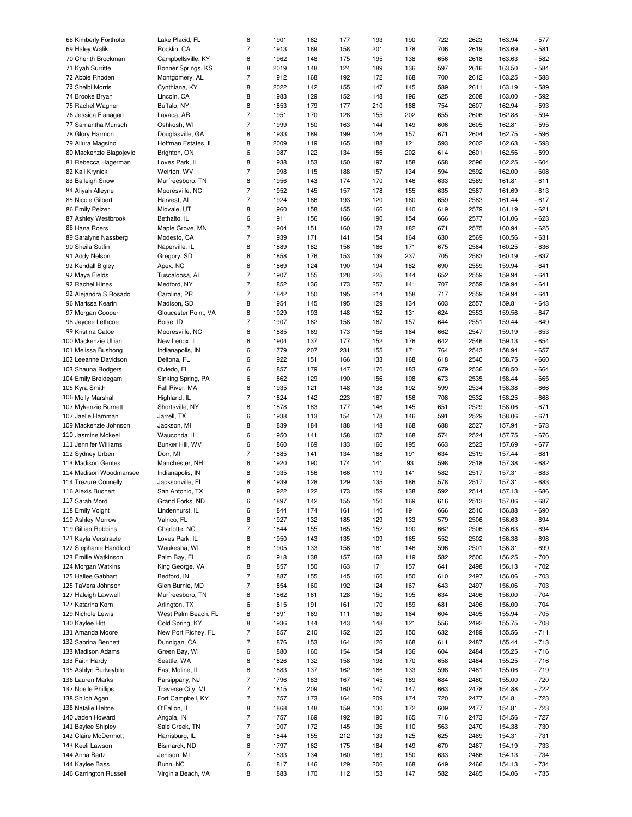| 68 Kimberly Forthofer   | Lake Placid, FL      | 6              | 1901 | 162 | 177 | 193 | 190 | 722 | 2623 | 163.94 | $-577$ |
|-------------------------|----------------------|----------------|------|-----|-----|-----|-----|-----|------|--------|--------|
| 69 Haley Walik          | Rocklin, CA          | $\overline{7}$ | 1913 | 169 | 158 | 201 | 178 | 706 | 2619 | 163.69 | $-581$ |
|                         |                      |                |      |     |     |     |     |     |      |        |        |
| 70 Cherith Brockman     | Campbellsville, KY   | 6              | 1962 | 148 | 175 | 195 | 138 | 656 | 2618 | 163.63 | $-582$ |
| 71 Kyah Surritte        | Bonner Springs, KS   | 8              | 2019 | 148 | 124 | 189 | 136 | 597 | 2616 | 163.50 | $-584$ |
| 72 Abbie Rhoden         | Montgomery, AL       | $\overline{7}$ | 1912 | 168 | 192 | 172 | 168 | 700 | 2612 | 163.25 | $-588$ |
| 73 Shelbi Morris        | Cynthiana, KY        | 8              | 2022 | 142 | 155 | 147 | 145 | 589 | 2611 | 163.19 | $-589$ |
| 74 Brooke Bryan         | Lincoln, CA          | 8              | 1983 | 129 | 152 | 148 | 196 | 625 | 2608 | 163.00 | $-592$ |
| 75 Rachel Wagner        | Buffalo, NY          | 8              | 1853 | 179 | 177 | 210 | 188 | 754 | 2607 | 162.94 | $-593$ |
| 76 Jessica Flanagan     | Lavaca, AR           | $\overline{7}$ | 1951 | 170 | 128 | 155 | 202 | 655 | 2606 | 162.88 | $-594$ |
| 77 Samantha Munsch      | Oshkosh, WI          | $\overline{7}$ | 1999 | 150 | 163 | 144 | 149 | 606 | 2605 | 162.81 | $-595$ |
|                         |                      |                |      |     |     |     |     |     |      |        |        |
| 78 Glory Harmon         | Douglasville, GA     | 8              | 1933 | 189 | 199 | 126 | 157 | 671 | 2604 | 162.75 | $-596$ |
| 79 Allura Magsino       | Hoffman Estates, IL  | 8              | 2009 | 119 | 165 | 188 | 121 | 593 | 2602 | 162.63 | $-598$ |
| 80 Mackenzie Blagojevic | Brighton, ON         | 6              | 1987 | 122 | 134 | 156 | 202 | 614 | 2601 | 162.56 | $-599$ |
| 81 Rebecca Hagerman     | Loves Park, IL       | 8              | 1938 | 153 | 150 | 197 | 158 | 658 | 2596 | 162.25 | $-604$ |
| 82 Kali Krynicki        | Weirton, WV          | $\overline{7}$ | 1998 | 115 | 188 | 157 | 134 | 594 | 2592 | 162.00 | $-608$ |
| 83 Baileigh Snow        | Murfreesboro, TN     | 8              | 1956 | 143 | 174 | 170 | 146 | 633 | 2589 | 161.81 | $-611$ |
| 84 Aliyah Alleyne       | Mooresville, NC      | $\overline{7}$ | 1952 | 145 | 157 | 178 | 155 | 635 | 2587 | 161.69 | $-613$ |
|                         |                      |                |      |     |     |     |     |     |      |        |        |
| 85 Nicole Gilbert       | Harvest, AL          | $\overline{7}$ | 1924 | 186 | 193 | 120 | 160 | 659 | 2583 | 161.44 | $-617$ |
| 86 Emily Pelzer         | Midvale, UT          | 8              | 1960 | 158 | 155 | 166 | 140 | 619 | 2579 | 161.19 | $-621$ |
| 87 Ashley Westbrook     | Bethalto, IL         | 6              | 1911 | 156 | 166 | 190 | 154 | 666 | 2577 | 161.06 | $-623$ |
| 88 Hana Roers           | Maple Grove, MN      | $\overline{7}$ | 1904 | 151 | 160 | 178 | 182 | 671 | 2575 | 160.94 | $-625$ |
| 89 Saralyne Nassberg    | Modesto, CA          | $\overline{7}$ | 1939 | 171 | 141 | 154 | 164 | 630 | 2569 | 160.56 | $-631$ |
| 90 Sheila Sutfin        | Naperville, IL       | 8              | 1889 | 182 | 156 | 166 | 171 | 675 | 2564 | 160.25 | $-636$ |
| 91 Addy Nelson          | Gregory, SD          | 6              | 1858 | 176 | 153 | 139 | 237 | 705 | 2563 | 160.19 | $-637$ |
| 92 Kendall Bigley       | Apex, NC             | 6              | 1869 | 124 | 190 | 194 | 182 | 690 | 2559 | 159.94 | $-641$ |
|                         |                      |                |      |     |     |     |     |     |      |        |        |
| 92 Maya Fields          | Tuscaloosa, AL       | $\overline{7}$ | 1907 | 155 | 128 | 225 | 144 | 652 | 2559 | 159.94 | $-641$ |
| 92 Rachel Hines         | Medford, NY          | $\overline{7}$ | 1852 | 136 | 173 | 257 | 141 | 707 | 2559 | 159.94 | $-641$ |
| 92 Alejandra S Rosado   | Carolina, PR         | $\overline{7}$ | 1842 | 150 | 195 | 214 | 158 | 717 | 2559 | 159.94 | $-641$ |
| 96 Marissa Kearin       | Madison, SD          | 8              | 1954 | 145 | 195 | 129 | 134 | 603 | 2557 | 159.81 | $-643$ |
| 97 Morgan Cooper        | Gloucester Point, VA | 8              | 1929 | 193 | 148 | 152 | 131 | 624 | 2553 | 159.56 | $-647$ |
| 98 Jaycee Lethcoe       | Boise, ID            | $\overline{7}$ | 1907 | 162 | 158 | 167 | 157 | 644 | 2551 | 159.44 | $-649$ |
| 99 Kristina Catoe       | Mooresville, NC      | 6              | 1885 | 169 | 173 | 156 | 164 | 662 | 2547 | 159.19 | $-653$ |
|                         |                      |                |      |     |     |     |     |     |      |        |        |
| 100 Mackenzie Ullian    | New Lenox, IL        | 6              | 1904 | 137 | 177 | 152 | 176 | 642 | 2546 | 159.13 | $-654$ |
| 101 Melissa Bushong     | Indianapolis, IN     | 6              | 1779 | 207 | 231 | 155 | 171 | 764 | 2543 | 158.94 | $-657$ |
| 102 Leeanne Davidson    | Deltona, FL          | 6              | 1922 | 151 | 166 | 133 | 168 | 618 | 2540 | 158.75 | $-660$ |
| 103 Shauna Rodgers      | Oviedo, FL           | 6              | 1857 | 179 | 147 | 170 | 183 | 679 | 2536 | 158.50 | $-664$ |
| 104 Emily Breidegam     | Sinking Spring, PA   | 6              | 1862 | 129 | 190 | 156 | 198 | 673 | 2535 | 158.44 | $-665$ |
| 105 Kyra Smith          | Fall River, MA       | 6              | 1935 | 121 | 148 | 138 | 192 | 599 | 2534 | 158.38 | $-666$ |
| 106 Molly Marshall      | Highland, IL         | $\overline{7}$ | 1824 | 142 | 223 | 187 | 156 | 708 | 2532 | 158.25 | $-668$ |
|                         |                      | 8              | 1878 | 183 |     | 146 |     |     |      |        | $-671$ |
| 107 Mykenzie Burnett    | Shortsville, NY      |                |      |     | 177 |     | 145 | 651 | 2529 | 158.06 |        |
| 107 Jaelle Hamman       | Jarrell, TX          | 6              | 1938 | 113 | 154 | 178 | 146 | 591 | 2529 | 158.06 | $-671$ |
| 109 Mackenzie Johnson   | Jackson, MI          | 8              | 1839 | 184 | 188 | 148 | 168 | 688 | 2527 | 157.94 | $-673$ |
| 110 Jasmine Mckeel      | Wauconda, IL         | 6              | 1950 | 141 | 158 | 107 | 168 | 574 | 2524 | 157.75 | $-676$ |
| 111 Jennifer Williams   | Bunker Hill, WV      | 6              | 1860 | 169 | 133 | 166 | 195 | 663 | 2523 | 157.69 | $-677$ |
| 112 Sydney Urben        | Dorr, MI             | $\overline{7}$ | 1885 | 141 | 134 | 168 | 191 | 634 | 2519 | 157.44 | $-681$ |
| 113 Madison Gentes      | Manchester, NH       | 6              | 1920 | 190 | 174 | 141 | 93  | 598 | 2518 | 157.38 | $-682$ |
| 114 Madison Woodmansee  | Indianapolis, IN     | 8              | 1935 | 156 | 166 | 119 | 141 | 582 | 2517 | 157.31 | $-683$ |
|                         |                      |                |      |     |     |     |     |     |      |        |        |
| 114 Trezure Connelly    | Jacksonville, FL     | 8              | 1939 | 128 | 129 | 135 | 186 | 578 | 2517 | 157.31 | $-683$ |
| 116 Alexis Buchert      | San Antonio, TX      | 8              | 1922 | 122 | 173 | 159 | 138 | 592 | 2514 | 157.13 | $-686$ |
| 117 Sarah Mord          | Grand Forks, ND      | 6              | 1897 | 142 | 155 | 150 | 169 | 616 | 2513 | 157.06 | - 687  |
| 118 Emily Voight        | Lindenhurst, IL      | 6              | 1844 | 174 | 161 | 140 | 191 | 666 | 2510 | 156.88 | $-690$ |
| 119 Ashley Morrow       | Valrico, FL          | 8              | 1927 | 132 | 185 | 129 | 133 | 579 | 2506 | 156.63 | $-694$ |
| 119 Gillian Robbins     | Charlotte, NC        | $\overline{7}$ | 1844 | 155 | 165 | 152 | 190 | 662 | 2506 | 156.63 | $-694$ |
| 121 Kayla Verstraete    | Loves Park, IL       | 8              | 1950 | 143 | 135 | 109 | 165 | 552 | 2502 | 156.38 | $-698$ |
|                         |                      | 6              |      |     |     |     |     |     |      |        |        |
| 122 Stephanie Handford  | Waukesha, WI         |                | 1905 | 133 | 156 | 161 | 146 | 596 | 2501 | 156.31 | $-699$ |
| 123 Emilie Watkinson    | Palm Bay, FL         | 6              | 1918 | 138 | 157 | 168 | 119 | 582 | 2500 | 156.25 | $-700$ |
| 124 Morgan Watkins      | King George, VA      | 8              | 1857 | 150 | 163 | 171 | 157 | 641 | 2498 | 156.13 | $-702$ |
| 125 Hallee Gabhart      | Bedford, IN          | $\overline{7}$ | 1887 | 155 | 145 | 160 | 150 | 610 | 2497 | 156.06 | $-703$ |
| 125 TaVera Johnson      | Glen Burnie, MD      | $\overline{7}$ | 1854 | 160 | 192 | 124 | 167 | 643 | 2497 | 156.06 | $-703$ |
| 127 Haleigh Lawwell     | Murfreesboro, TN     | 6              | 1862 | 161 | 128 | 150 | 195 | 634 | 2496 | 156.00 | $-704$ |
| 127 Katarina Korn       | Arlington, TX        | 6              | 1815 | 191 | 161 | 170 | 159 | 681 | 2496 | 156.00 | $-704$ |
| 129 Nichole Lewis       | West Palm Beach, FL  | 8              | 1891 | 169 | 111 | 160 | 164 | 604 | 2495 | 155.94 | $-705$ |
|                         | Cold Spring, KY      |                |      |     |     |     |     |     |      |        |        |
| 130 Kaylee Hitt         |                      | 8              | 1936 | 144 | 143 | 148 | 121 | 556 | 2492 | 155.75 | $-708$ |
| 131 Amanda Moore        | New Port Richey, FL  | $\overline{7}$ | 1857 | 210 | 152 | 120 | 150 | 632 | 2489 | 155.56 | $-711$ |
| 132 Sabrina Bennett     | Dunnigan, CA         | 7              | 1876 | 153 | 164 | 126 | 168 | 611 | 2487 | 155.44 | $-713$ |
| 133 Madison Adams       | Green Bay, WI        | 6              | 1880 | 160 | 154 | 154 | 136 | 604 | 2484 | 155.25 | $-716$ |
| 133 Faith Hardy         | Seattle, WA          | 6              | 1826 | 132 | 158 | 198 | 170 | 658 | 2484 | 155.25 | $-716$ |
| 135 Ashlyn Burkeybile   | East Moline, IL      | 8              | 1883 | 137 | 162 | 166 | 133 | 598 | 2481 | 155.06 | $-719$ |
| 136 Lauren Marks        | Parsippany, NJ       | $\overline{7}$ | 1796 | 183 | 167 | 145 | 189 | 684 | 2480 | 155.00 | $-720$ |
| 137 Noelle Phillips     | Traverse City, MI    | $\overline{7}$ |      |     |     | 147 | 147 |     | 2478 | 154.88 | $-722$ |
|                         |                      |                | 1815 | 209 | 160 |     |     | 663 |      |        |        |
| 138 Shiloh Agan         | Fort Campbell, KY    | $\overline{7}$ | 1757 | 173 | 164 | 209 | 174 | 720 | 2477 | 154.81 | $-723$ |
| 138 Natalie Heltne      | O'Fallon, IL         | 8              | 1868 | 148 | 159 | 130 | 172 | 609 | 2477 | 154.81 | $-723$ |
| 140 Jaden Howard        | Angola, IN           | $\overline{7}$ | 1757 | 169 | 192 | 190 | 165 | 716 | 2473 | 154.56 | $-727$ |
| 141 Baylee Shipley      | Sale Creek, TN       | $\overline{7}$ | 1907 | 172 | 145 | 136 | 110 | 563 | 2470 | 154.38 | $-730$ |
| 142 Claire McDermott    | Harrisburg, IL       | 6              | 1844 | 155 | 212 | 133 | 125 | 625 | 2469 | 154.31 | $-731$ |
| 143 Keeli Lawson        | Bismarck, ND         | 6              | 1797 | 162 | 175 | 184 | 149 | 670 | 2467 | 154.19 | $-733$ |
| 144 Anna Bartz          | Jenison, MI          | 7              | 1833 | 134 | 160 | 189 | 150 | 633 | 2466 | 154.13 | $-734$ |
| 144 Kaylee Bass         | Bunn, NC             | 6              | 1817 | 146 | 129 | 206 | 168 | 649 | 2466 | 154.13 | $-734$ |
|                         |                      |                |      |     |     |     |     |     |      |        |        |
| 146 Carrington Russell  | Virginia Beach, VA   | 8              | 1883 | 170 | 112 | 153 | 147 | 582 | 2465 | 154.06 | $-735$ |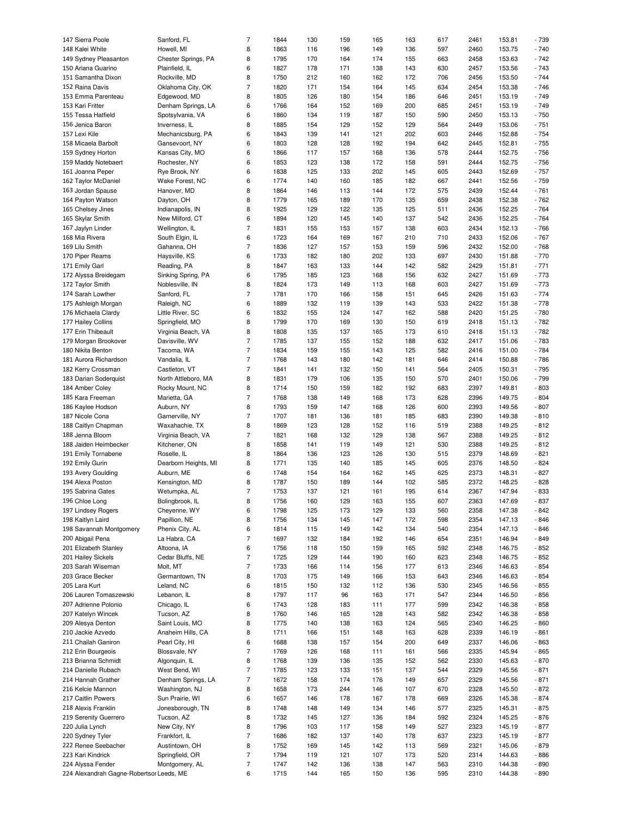| 147 Sierra Poole        | Sanford, FL          | $\overline{7}$ | 1844 | 130 | 159 | 165 | 163 | 617 | 2461 | 153.81 | $-739$ |
|-------------------------|----------------------|----------------|------|-----|-----|-----|-----|-----|------|--------|--------|
| 148 Kalei White         | Howell, MI           | 8              | 1863 | 116 | 196 | 149 | 136 | 597 | 2460 | 153.75 | $-740$ |
|                         |                      |                |      |     |     |     |     |     |      |        |        |
| 149 Sydney Pleasanton   | Chester Springs, PA  | 8              | 1795 | 170 | 164 | 174 | 155 | 663 | 2458 | 153.63 | $-742$ |
| 150 Ariana Guarino      | Plainfield, IL       | 6              | 1827 | 178 | 171 | 138 | 143 | 630 | 2457 | 153.56 | $-743$ |
| 151 Samantha Dixon      | Rockville, MD        | 8              | 1750 | 212 | 160 | 162 | 172 | 706 | 2456 | 153.50 | $-744$ |
| 152 Raina Davis         | Oklahoma City, OK    | 7              | 1820 | 171 | 154 | 164 | 145 | 634 | 2454 | 153.38 | $-746$ |
| 153 Emma Parenteau      | Edgewood, MD         | 8              | 1805 | 126 | 180 | 154 | 186 | 646 | 2451 | 153.19 | $-749$ |
| 153 Kari Fritter        | Denham Springs, LA   | 6              | 1766 | 164 | 152 | 169 | 200 | 685 | 2451 | 153.19 | $-749$ |
| 155 Tessa Hatfield      | Spotsylvania, VA     | 6              | 1860 | 134 | 119 | 187 | 150 | 590 | 2450 | 153.13 | $-750$ |
| 156 Jenica Baron        | Inverness, IL        | 8              | 1885 | 154 | 129 | 152 | 129 | 564 | 2449 | 153.06 | $-751$ |
| 157 Lexi Kile           |                      | 6              |      |     |     |     |     | 603 | 2446 |        | $-754$ |
|                         | Mechanicsburg, PA    |                | 1843 | 139 | 141 | 121 | 202 |     |      | 152.88 |        |
| 158 Micaela Barbolt     | Gansevoort, NY       | 6              | 1803 | 128 | 128 | 192 | 194 | 642 | 2445 | 152.81 | $-755$ |
| 159 Sydney Horton       | Kansas City, MO      | 6              | 1866 | 117 | 157 | 168 | 136 | 578 | 2444 | 152.75 | $-756$ |
| 159 Maddy Notebaert     | Rochester, NY        | 6              | 1853 | 123 | 138 | 172 | 158 | 591 | 2444 | 152.75 | $-756$ |
| 161 Joanna Peper        | Rye Brook, NY        | 6              | 1838 | 125 | 133 | 202 | 145 | 605 | 2443 | 152.69 | $-757$ |
| 162 Taylor McDaniel     | Wake Forest, NC      | 6              | 1774 | 140 | 160 | 185 | 182 | 667 | 2441 | 152.56 | $-759$ |
| 163 Jordan Spause       | Hanover, MD          | 8              | 1864 | 146 | 113 | 144 | 172 | 575 | 2439 | 152.44 | $-761$ |
| 164 Payton Watson       | Dayton, OH           | 8              | 1779 | 165 | 189 | 170 | 135 | 659 | 2438 | 152.38 | $-762$ |
|                         |                      |                |      |     |     |     |     |     |      |        |        |
| 165 Chelsey Jines       | Indianapolis, IN     | 8              | 1925 | 129 | 122 | 135 | 125 | 511 | 2436 | 152.25 | $-764$ |
| 165 Skylar Smith        | New Milford, CT      | 6              | 1894 | 120 | 145 | 140 | 137 | 542 | 2436 | 152.25 | $-764$ |
| 167 Jaylyn Linder       | Wellington, IL       | $\overline{7}$ | 1831 | 155 | 153 | 157 | 138 | 603 | 2434 | 152.13 | $-766$ |
| 168 Mia Rivera          | South Elgin, IL      | 6              | 1723 | 164 | 169 | 167 | 210 | 710 | 2433 | 152.06 | $-767$ |
| 169 Lilu Smith          | Gahanna, OH          | $\overline{7}$ | 1836 | 127 | 157 | 153 | 159 | 596 | 2432 | 152.00 | $-768$ |
| 170 Piper Reams         | Haysville, KS        | 6              | 1733 | 182 | 180 | 202 | 133 | 697 | 2430 | 151.88 | $-770$ |
| 171 Emily Garl          | Reading, PA          | 8              | 1847 | 163 | 133 | 144 | 142 | 582 | 2429 | 151.81 | $-771$ |
| 172 Alyssa Breidegam    |                      | 6              | 1795 | 185 | 123 | 168 | 156 | 632 | 2427 | 151.69 | $-773$ |
|                         | Sinking Spring, PA   |                |      |     |     |     |     |     |      |        |        |
| 172 Taylor Smith        | Noblesville, IN      | 8              | 1824 | 173 | 149 | 113 | 168 | 603 | 2427 | 151.69 | $-773$ |
| 174 Sarah Lowther       | Sanford, FL          | $\overline{7}$ | 1781 | 170 | 166 | 158 | 151 | 645 | 2426 | 151.63 | $-774$ |
| 175 Ashleigh Morgan     | Raleigh, NC          | 6              | 1889 | 132 | 119 | 139 | 143 | 533 | 2422 | 151.38 | $-778$ |
| 176 Michaela Clardy     | Little River, SC     | 6              | 1832 | 155 | 124 | 147 | 162 | 588 | 2420 | 151.25 | $-780$ |
| 177 Hailey Collins      | Springfield, MO      | 8              | 1799 | 170 | 169 | 130 | 150 | 619 | 2418 | 151.13 | $-782$ |
| 177 Erin Thibeault      | Virginia Beach, VA   | 8              | 1808 | 135 | 137 | 165 | 173 | 610 | 2418 | 151.13 | $-782$ |
| 179 Morgan Brookover    | Davisville, WV       | $\overline{7}$ | 1785 | 137 | 155 | 152 | 188 | 632 | 2417 | 151.06 | $-783$ |
|                         |                      |                |      |     |     |     |     |     |      |        |        |
| 180 Nikita Benton       | Tacoma, WA           | $\overline{7}$ | 1834 | 159 | 155 | 143 | 125 | 582 | 2416 | 151.00 | $-784$ |
| 181 Aurora Richardson   | Vandalia, IL         | $\overline{7}$ | 1768 | 143 | 180 | 142 | 181 | 646 | 2414 | 150.88 | $-786$ |
| 182 Kerry Crossman      | Castleton, VT        | $\overline{7}$ | 1841 | 141 | 132 | 150 | 141 | 564 | 2405 | 150.31 | $-795$ |
| 183 Darian Soderquist   | North Attleboro, MA  | 8              | 1831 | 179 | 106 | 135 | 150 | 570 | 2401 | 150.06 | $-799$ |
| 184 Amber Coley         | Rocky Mount, NC      | 8              | 1714 | 150 | 159 | 182 | 192 | 683 | 2397 | 149.81 | $-803$ |
| 185 Kara Freeman        | Marietta, GA         | $\overline{7}$ | 1768 | 138 | 149 | 168 | 173 | 628 | 2396 | 149.75 | $-804$ |
| 186 Kaylee Hodson       | Auburn, NY           | 8              | 1793 | 159 | 147 | 168 | 126 | 600 | 2393 | 149.56 | $-807$ |
| 187 Nicole Cona         | Garnerville, NY      | $\overline{7}$ | 1707 | 181 | 136 | 181 | 185 | 683 | 2390 | 149.38 | $-810$ |
|                         |                      |                |      |     |     |     |     |     |      |        |        |
| 188 Caitlyn Chapman     | Waxahachie, TX       | 8              | 1869 | 123 | 128 | 152 | 116 | 519 | 2388 | 149.25 | $-812$ |
| 188 Jenna Bloom         | Virginia Beach, VA   | $\overline{7}$ | 1821 | 168 | 132 | 129 | 138 | 567 | 2388 | 149.25 | $-812$ |
| 188 Jaiden Heimbecker   | Kitchener, ON        | 8              | 1858 | 141 | 119 | 149 | 121 | 530 | 2388 | 149.25 | $-812$ |
| 191 Emily Tornabene     | Roselle, IL          | 8              | 1864 | 136 | 123 | 126 | 130 | 515 | 2379 | 148.69 | $-821$ |
| 192 Emily Gurin         | Dearborn Heights, MI | 8              | 1771 | 135 | 140 | 185 | 145 | 605 | 2376 | 148.50 | $-824$ |
| 193 Avery Goulding      | Auburn, ME           | 6              | 1748 | 154 | 164 | 162 | 145 | 625 | 2373 | 148.31 | $-827$ |
| 194 Alexa Poston        | Kensington, MD       | 8              | 1787 | 150 | 189 | 144 | 102 | 585 | 2372 | 148.25 | $-828$ |
|                         | Wetumpka, AL         | $\overline{7}$ | 1753 | 137 | 121 | 161 | 195 | 614 |      |        |        |
|                         |                      |                |      |     |     |     |     |     |      |        |        |
| 195 Sabrina Gates       |                      |                |      |     |     |     |     |     | 2367 | 147.94 | $-833$ |
| 196 Chloe Long          | Bolingbrook, IL      | 8              | 1756 | 160 | 129 | 163 | 155 | 607 | 2363 | 147.69 | - 837  |
| 197 Lindsey Rogers      | Cheyenne, WY         | 6              | 1798 | 125 | 173 | 129 | 133 | 560 | 2358 | 147.38 | $-842$ |
| 198 Kaitlyn Laird       | Papillion, NE        | 8              | 1756 | 134 | 145 | 147 | 172 | 598 | 2354 | 147.13 | $-846$ |
| 198 Savannah Montgomery | Phenix City, AL      | 6              | 1814 | 115 | 149 | 142 | 134 | 540 | 2354 | 147.13 | $-846$ |
| 200 Abigail Pena        | La Habra, CA         | $\overline{7}$ | 1697 | 132 | 184 | 192 | 146 | 654 | 2351 | 146.94 | $-849$ |
| 201 Elizabeth Stanley   | Altoona, IA          | 6              | 1756 | 118 | 150 | 159 | 165 | 592 | 2348 | 146.75 | $-852$ |
|                         |                      |                |      |     |     |     |     |     |      |        |        |
| 201 Hailey Sickels      | Cedar Bluffs, NE     | 7              | 1725 | 129 | 144 | 190 | 160 | 623 | 2348 | 146.75 | $-852$ |
| 203 Sarah Wiseman       | Molt, MT             | $\overline{7}$ | 1733 | 166 | 114 | 156 | 177 | 613 | 2346 | 146.63 | $-854$ |
| 203 Grace Becker        | Germantown, TN       | 8              | 1703 | 175 | 149 | 166 | 153 | 643 | 2346 | 146.63 | $-854$ |
| 205 Lara Kurt           | Leland, NC           | 6              | 1815 | 150 | 132 | 112 | 136 | 530 | 2345 | 146.56 | $-855$ |
| 206 Lauren Tomaszewski  | Lebanon, IL          | 8              | 1797 | 117 | 96  | 163 | 171 | 547 | 2344 | 146.50 | $-856$ |
| 207 Adrienne Polonio    | Chicago, IL          | 6              | 1743 | 128 | 183 | 111 | 177 | 599 | 2342 | 146.38 | $-858$ |
| 207 Katelyn Wincek      | Tucson, AZ           | 8              | 1760 | 146 | 165 | 128 | 143 | 582 | 2342 | 146.38 | $-858$ |
|                         |                      |                |      |     |     |     |     |     |      |        |        |
| 209 Alesya Denton       | Saint Louis, MO      | 8              | 1775 | 140 | 138 | 163 | 124 | 565 | 2340 | 146.25 | $-860$ |
| 210 Jackie Azvedo       | Anaheim Hills, CA    | 8              | 1711 | 166 | 151 | 148 | 163 | 628 | 2339 | 146.19 | $-861$ |
| 211 Chailah Ganiron     | Pearl City, HI       | 6              | 1688 | 138 | 157 | 154 | 200 | 649 | 2337 | 146.06 | $-863$ |
| 212 Erin Bourgeois      | Blossvale, NY        | $\overline{7}$ | 1769 | 126 | 168 | 111 | 161 | 566 | 2335 | 145.94 | $-865$ |
| 213 Brianna Schmidt     | Algonquin, IL        | 8              | 1768 | 139 | 136 | 135 | 152 | 562 | 2330 | 145.63 | $-870$ |
| 214 Danielle Rubach     | West Bend, WI        | $\overline{7}$ | 1785 | 123 | 133 | 151 | 137 | 544 | 2329 | 145.56 | $-871$ |
| 214 Hannah Grather      | Denham Springs, LA   | 7              | 1672 | 158 | 174 | 176 | 149 | 657 | 2329 | 145.56 | $-871$ |
| 216 Kelcie Mannon       | Washington, NJ       | 8              | 1658 | 173 | 244 | 146 | 107 | 670 | 2328 | 145.50 | $-872$ |
|                         |                      |                |      |     |     |     |     |     |      |        |        |
| 217 Caitlin Powers      | Sun Prairie, WI      | 6              | 1657 | 146 | 178 | 167 | 178 | 669 | 2326 | 145.38 | $-874$ |
| 218 Alexis Franklin     | Jonesborough, TN     | 8              | 1748 | 148 | 149 | 134 | 146 | 577 | 2325 | 145.31 | $-875$ |
| 219 Serenity Guerrero   | Tucson, AZ           | 8              | 1732 | 145 | 127 | 136 | 184 | 592 | 2324 | 145.25 | $-876$ |
| 220 Julia Lynch         | New City, NY         | 8              | 1796 | 103 | 117 | 158 | 149 | 527 | 2323 | 145.19 | $-877$ |
| 220 Sydney Tyler        | Frankfort, IL        | $\overline{7}$ | 1686 | 182 | 137 | 140 | 178 | 637 | 2323 | 145.19 | $-877$ |
| 222 Renee Seebacher     | Austintown, OH       | 8              | 1752 | 169 | 145 | 142 | 113 | 569 | 2321 | 145.06 | $-879$ |
| 223 Kari Kindrick       | Springfield, OR      | $\overline{7}$ | 1794 | 119 | 121 | 107 | 173 | 520 | 2314 | 144.63 | $-886$ |
| 224 Alyssa Fender       | Montgomery, AL       | $\overline{7}$ | 1747 | 142 | 136 | 138 | 147 | 563 | 2310 | 144.38 | $-890$ |